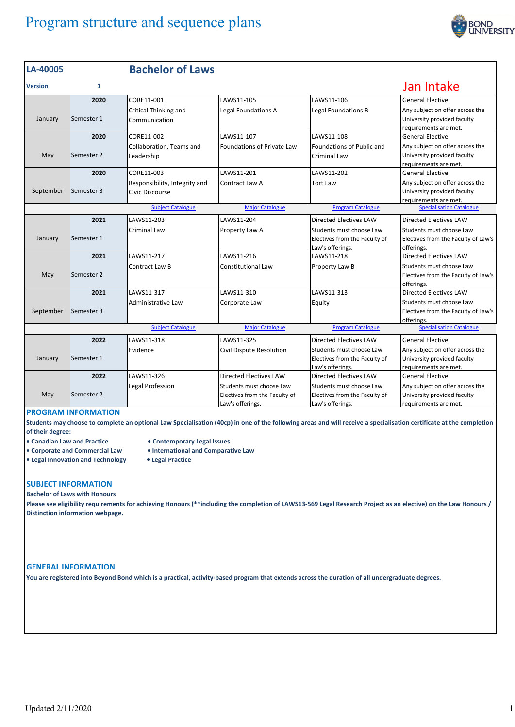# Program structure and sequence plans



| LA-40005                                                                                                          |              | <b>Bachelor of Laws</b>                          |                                                                               |                                                                               |                                                                                         |
|-------------------------------------------------------------------------------------------------------------------|--------------|--------------------------------------------------|-------------------------------------------------------------------------------|-------------------------------------------------------------------------------|-----------------------------------------------------------------------------------------|
| <b>Version</b>                                                                                                    | $\mathbf{1}$ |                                                  |                                                                               |                                                                               | Jan Intake                                                                              |
|                                                                                                                   | 2020         | CORE11-001                                       | LAWS11-105                                                                    | LAWS11-106                                                                    | <b>General Elective</b>                                                                 |
| January                                                                                                           | Semester 1   | Critical Thinking and<br>Communication           | Legal Foundations A                                                           | Legal Foundations B                                                           | Any subject on offer across the<br>University provided faculty<br>requirements are met. |
|                                                                                                                   | 2020         | CORE11-002                                       | LAWS11-107                                                                    | LAWS11-108                                                                    | <b>General Elective</b>                                                                 |
| May                                                                                                               | Semester 2   | Collaboration, Teams and<br>Leadership           | <b>Foundations of Private Law</b>                                             | <b>Foundations of Public and</b><br>Criminal Law                              | Any subject on offer across the<br>University provided faculty<br>requirements are met. |
|                                                                                                                   | 2020         | CORE11-003                                       | LAWS11-201                                                                    | LAWS11-202                                                                    | <b>General Elective</b>                                                                 |
| September                                                                                                         | Semester 3   | Responsibility, Integrity and<br>Civic Discourse | Contract Law A                                                                | <b>Tort Law</b>                                                               | Any subject on offer across the<br>University provided faculty<br>requirements are met. |
| <b>Specialisation Catalogue</b><br><b>Subject Catalogue</b><br><b>Major Catalogue</b><br><b>Program Catalogue</b> |              |                                                  |                                                                               |                                                                               |                                                                                         |
|                                                                                                                   | 2021         | LAWS11-203                                       | LAWS11-204                                                                    | Directed Electives LAW                                                        | <b>Directed Electives LAW</b>                                                           |
| January                                                                                                           | Semester 1   | Criminal Law                                     | Property Law A                                                                | Students must choose Law<br>Electives from the Faculty of<br>Law's offerings. | Students must choose Law<br>Electives from the Faculty of Law's<br>offerings.           |
|                                                                                                                   | 2021         | LAWS11-217                                       | LAWS11-216                                                                    | LAWS11-218                                                                    | <b>Directed Electives LAW</b>                                                           |
| May                                                                                                               | Semester 2   | Contract Law B                                   | Constitutional Law                                                            | Property Law B                                                                | Students must choose Law<br>Electives from the Faculty of Law's<br>offerings.           |
|                                                                                                                   | 2021         | LAWS11-317                                       | LAWS11-310                                                                    | LAWS11-313                                                                    | <b>Directed Electives LAW</b>                                                           |
| September                                                                                                         | Semester 3   | Administrative Law                               | Corporate Law                                                                 | Equity                                                                        | Students must choose Law<br>Electives from the Faculty of Law's<br>offerings.           |
| <b>Specialisation Catalogue</b><br><b>Subject Catalogue</b><br><b>Major Catalogue</b><br><b>Program Catalogue</b> |              |                                                  |                                                                               |                                                                               |                                                                                         |
|                                                                                                                   | 2022         | LAWS11-318                                       | LAWS11-325                                                                    | Directed Electives LAW                                                        | <b>General Elective</b>                                                                 |
| January                                                                                                           | Semester 1   | Evidence                                         | Civil Dispute Resolution                                                      | Students must choose Law<br>Electives from the Faculty of<br>Law's offerings. | Any subject on offer across the<br>University provided faculty<br>requirements are met. |
|                                                                                                                   | 2022         | LAWS11-326                                       | <b>Directed Electives LAW</b>                                                 | <b>Directed Electives LAW</b>                                                 | <b>General Elective</b>                                                                 |
| May                                                                                                               | Semester 2   | Legal Profession                                 | Students must choose Law<br>Electives from the Faculty of<br>Law's offerings. | Students must choose Law<br>Electives from the Faculty of<br>Law's offerings. | Any subject on offer across the<br>University provided faculty<br>requirements are met. |

## **PROGRAM INFORMATION**

Students may choose to complete an optional Law Specialisation (40cp) in one of the following areas and will receive a specialisation certificate at the completion **of their degree:**

- 
- **Canadian Law and Practice Contemporary Legal Issues**
- **Corporate and Commercial Law International and Comparative Law**
- **Legal Innovation and Technology Legal Practice**
- 

### **SUBJECT INFORMATION**

**Bachelor of Laws with Honours**

Please see eligibility requirements for achieving Honours (\*\*including the completion of LAWS13-569 Legal Research Project as an elective) on the Law Honours / **Distinction information webpage.**

#### **GENERAL INFORMATION**

You are registered into Beyond Bond which is a practical, activity-based program that extends across the duration of all undergraduate degrees.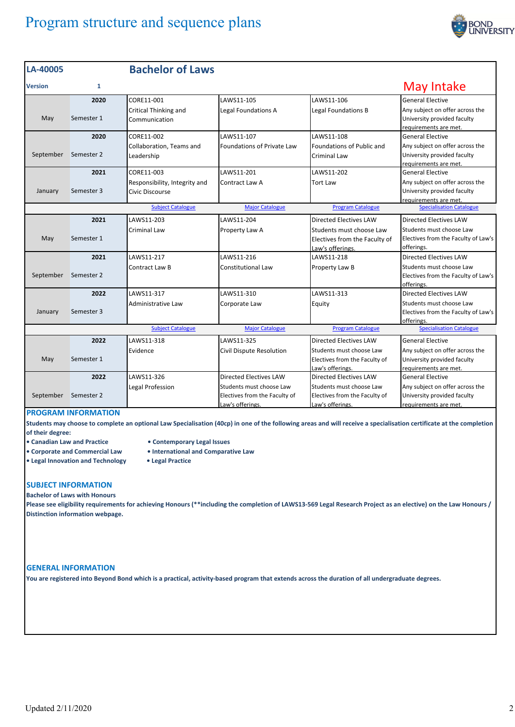# Program structure and sequence plans



| LA-40005       |              | <b>Bachelor of Laws</b>                          |                                                                               |                                                                               |                                                                                         |
|----------------|--------------|--------------------------------------------------|-------------------------------------------------------------------------------|-------------------------------------------------------------------------------|-----------------------------------------------------------------------------------------|
| <b>Version</b> | $\mathbf{1}$ |                                                  |                                                                               |                                                                               | May Intake                                                                              |
|                | 2020         | CORE11-001                                       | LAWS11-105                                                                    | LAWS11-106                                                                    | General Elective                                                                        |
| May            | Semester 1   | Critical Thinking and<br>Communication           | Legal Foundations A                                                           | <b>Legal Foundations B</b>                                                    | Any subject on offer across the<br>University provided faculty<br>requirements are met. |
|                | 2020         | CORE11-002                                       | LAWS11-107                                                                    | LAWS11-108                                                                    | <b>General Elective</b>                                                                 |
| September      | Semester 2   | Collaboration, Teams and<br>Leadership           | <b>Foundations of Private Law</b>                                             | Foundations of Public and<br><b>Criminal Law</b>                              | Any subject on offer across the<br>University provided faculty<br>requirements are met. |
|                | 2021         | CORE11-003                                       | LAWS11-201                                                                    | LAWS11-202                                                                    | General Elective                                                                        |
| January        | Semester 3   | Responsibility, Integrity and<br>Civic Discourse | Contract Law A                                                                | <b>Tort Law</b>                                                               | Any subject on offer across the<br>University provided faculty<br>requirements are met. |
|                |              | <b>Subject Catalogue</b>                         | <b>Major Catalogue</b>                                                        | <b>Program Catalogue</b>                                                      | <b>Specialisation Catalogue</b>                                                         |
|                | 2021         | LAWS11-203                                       | LAWS11-204                                                                    | <b>Directed Electives LAW</b>                                                 | <b>Directed Electives LAW</b>                                                           |
| May            | Semester 1   | Criminal Law                                     | Property Law A                                                                | Students must choose Law<br>Electives from the Faculty of<br>Law's offerings. | Students must choose Law<br>Electives from the Faculty of Law's<br>offerings.           |
|                | 2021         | LAWS11-217                                       | LAWS11-216                                                                    | LAWS11-218                                                                    | Directed Electives LAW                                                                  |
| September      | Semester 2   | Contract Law B                                   | Constitutional Law                                                            | Property Law B                                                                | Students must choose Law<br>Electives from the Faculty of Law's<br>offerings.           |
|                | 2022         | LAWS11-317                                       | LAWS11-310                                                                    | LAWS11-313                                                                    | <b>Directed Electives LAW</b>                                                           |
| January        | Semester 3   | Administrative Law                               | Corporate Law                                                                 | Equity                                                                        | Students must choose Law<br>Electives from the Faculty of Law's<br>offerings.           |
|                |              | <b>Subject Catalogue</b>                         | <b>Major Catalogue</b>                                                        | <b>Program Catalogue</b>                                                      | <b>Specialisation Catalogue</b>                                                         |
|                | 2022         | LAWS11-318                                       | LAWS11-325                                                                    | <b>Directed Electives LAW</b>                                                 | General Elective                                                                        |
| May            | Semester 1   | Evidence                                         | Civil Dispute Resolution                                                      | Students must choose Law<br>Electives from the Faculty of<br>Law's offerings. | Any subject on offer across the<br>University provided faculty<br>requirements are met. |
|                | 2022         | LAWS11-326                                       | <b>Directed Electives LAW</b>                                                 | <b>Directed Electives LAW</b>                                                 | General Elective                                                                        |
| September      | Semester 2   | Legal Profession                                 | Students must choose Law<br>Electives from the Faculty of<br>Law's offerings. | Students must choose Law<br>Electives from the Faculty of<br>Law's offerings. | Any subject on offer across the<br>University provided faculty<br>requirements are met. |

## **PROGRAM INFORMATION**

Students may choose to complete an optional Law Specialisation (40cp) in one of the following areas and will receive a specialisation certificate at the completion **of their degree:**

- 
- **• Canadian Law and Practice • Contemporary Legal Issues**
	-
- **• Corporate and Commercial Law • International and Comparative Law • Legal Innovation and Technology • Legal Practice**
	-

### **SUBJECT INFORMATION Bachelor of Laws with Honours**

Please see eligibility requirements for achieving Honours (\*\*including the completion of LAWS13-569 Legal Research Project as an elective) on the Law Honours / **Distinction information webpage.**

#### **GENERAL INFORMATION**

You are registered into Beyond Bond which is a practical, activity-based program that extends across the duration of all undergraduate degrees.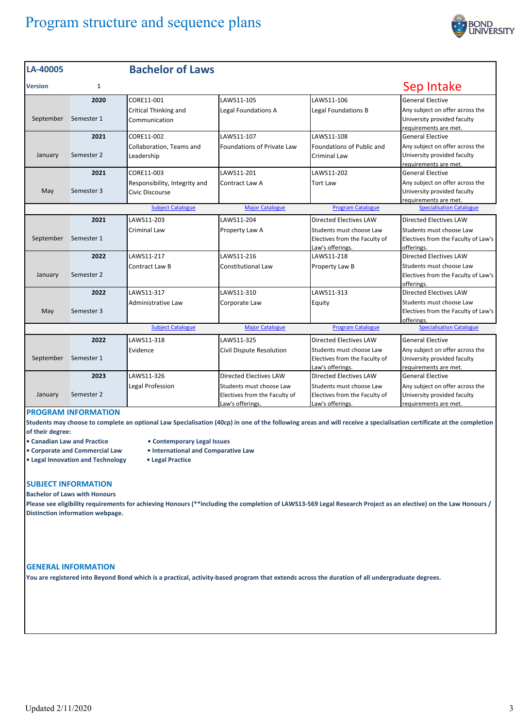# Program structure and sequence plans



| LA-40005                                                                                                          |              | <b>Bachelor of Laws</b>                          |                                                                               |                                                                               |                                                                                         |
|-------------------------------------------------------------------------------------------------------------------|--------------|--------------------------------------------------|-------------------------------------------------------------------------------|-------------------------------------------------------------------------------|-----------------------------------------------------------------------------------------|
| <b>Version</b>                                                                                                    | $\mathbf{1}$ |                                                  |                                                                               |                                                                               | Sep Intake                                                                              |
|                                                                                                                   | 2020         | CORE11-001                                       | LAWS11-105                                                                    | LAWS11-106                                                                    | <b>General Elective</b>                                                                 |
| September                                                                                                         | Semester 1   | <b>Critical Thinking and</b><br>Communication    | Legal Foundations A                                                           | Legal Foundations B                                                           | Any subject on offer across the<br>University provided faculty<br>requirements are met. |
|                                                                                                                   | 2021         | CORE11-002                                       | LAWS11-107                                                                    | LAWS11-108                                                                    | <b>General Elective</b>                                                                 |
| January                                                                                                           | Semester 2   | Collaboration, Teams and<br>Leadership           | <b>Foundations of Private Law</b>                                             | <b>Foundations of Public and</b><br>Criminal Law                              | Any subject on offer across the<br>University provided faculty<br>requirements are met. |
|                                                                                                                   | 2021         | CORE11-003                                       | LAWS11-201                                                                    | LAWS11-202                                                                    | <b>General Elective</b>                                                                 |
| May                                                                                                               | Semester 3   | Responsibility, Integrity and<br>Civic Discourse | Contract Law A                                                                | Tort Law                                                                      | Any subject on offer across the<br>University provided faculty<br>requirements are met. |
|                                                                                                                   |              | <b>Subject Catalogue</b>                         | <b>Major Catalogue</b>                                                        | <b>Program Catalogue</b>                                                      | <b>Specialisation Catalogue</b>                                                         |
|                                                                                                                   | 2021         | LAWS11-203                                       | LAWS11-204                                                                    | Directed Electives LAW                                                        | <b>Directed Electives LAW</b>                                                           |
| September                                                                                                         | Semester 1   | <b>Criminal Law</b>                              | Property Law A                                                                | Students must choose Law<br>Electives from the Faculty of<br>Law's offerings. | Students must choose Law<br>Electives from the Faculty of Law's<br>offerings.           |
|                                                                                                                   | 2022         | LAWS11-217                                       | LAWS11-216                                                                    | LAWS11-218                                                                    | <b>Directed Electives LAW</b>                                                           |
| January                                                                                                           | Semester 2   | <b>Contract Law B</b>                            | Constitutional Law                                                            | Property Law B                                                                | Students must choose Law<br>Electives from the Faculty of Law's<br>offerings.           |
|                                                                                                                   | 2022         | LAWS11-317                                       | LAWS11-310                                                                    | LAWS11-313                                                                    | <b>Directed Electives LAW</b>                                                           |
| May                                                                                                               | Semester 3   | Administrative Law                               | Corporate Law                                                                 | Equity                                                                        | Students must choose Law<br>Electives from the Faculty of Law's<br>offerings.           |
| <b>Specialisation Catalogue</b><br><b>Subject Catalogue</b><br><b>Major Catalogue</b><br><b>Program Catalogue</b> |              |                                                  |                                                                               |                                                                               |                                                                                         |
|                                                                                                                   | 2022         | LAWS11-318                                       | LAWS11-325                                                                    | Directed Electives LAW                                                        | <b>General Elective</b>                                                                 |
| September                                                                                                         | Semester 1   | Evidence                                         | Civil Dispute Resolution                                                      | Students must choose Law<br>Electives from the Faculty of<br>Law's offerings. | Any subject on offer across the<br>University provided faculty<br>requirements are met. |
|                                                                                                                   | 2023         | LAWS11-326                                       | <b>Directed Electives LAW</b>                                                 | <b>Directed Electives LAW</b>                                                 | <b>General Elective</b>                                                                 |
| January                                                                                                           | Semester 2   | Legal Profession                                 | Students must choose Law<br>Electives from the Faculty of<br>Law's offerings. | Students must choose Law<br>Electives from the Faculty of<br>Law's offerings. | Any subject on offer across the<br>University provided faculty<br>requirements are met. |

## **PROGRAM INFORMATION**

Students may choose to complete an optional Law Specialisation (40cp) in one of the following areas and will receive a specialisation certificate at the completion **of their degree:**

- 
- **• Canadian Law and Practice • Contemporary Legal Issues**
- **• Corporate and Commercial Law • International and Comparative Law**
- **• Legal Innovation and Technology • Legal Practice**
- **SUBJECT INFORMATION**

**Bachelor of Laws with Honours**

Please see eligibility requirements for achieving Honours (\*\*including the completion of LAWS13-569 Legal Research Project as an elective) on the Law Honours / **Distinction information webpage.**

#### **GENERAL INFORMATION**

You are registered into Beyond Bond which is a practical, activity-based program that extends across the duration of all undergraduate degrees.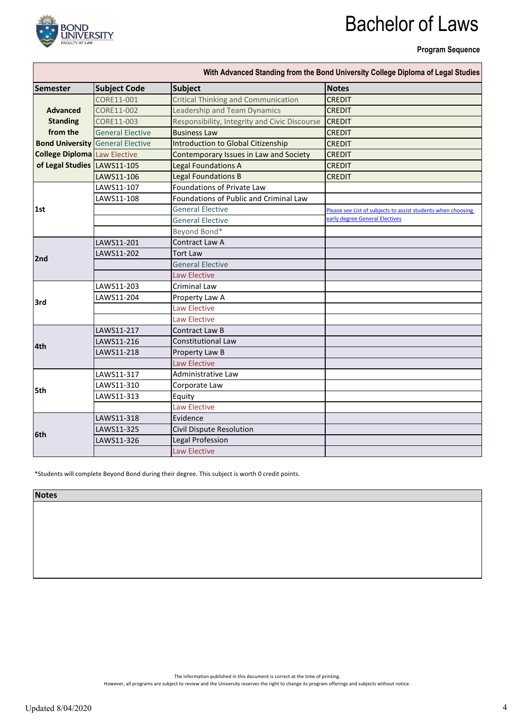

# Bachelor of Laws

**Program Sequence**

| Semester                            | <b>Subject Code</b>                     | <b>Subject</b>                                | <b>Notes</b>                                                 |
|-------------------------------------|-----------------------------------------|-----------------------------------------------|--------------------------------------------------------------|
|                                     | CORE11-001                              | <b>Critical Thinking and Communication</b>    | <b>CREDIT</b>                                                |
| <b>Advanced</b>                     | CORE11-002                              | Leadership and Team Dynamics                  | <b>CREDIT</b>                                                |
| <b>Standing</b>                     | CORE11-003                              | Responsibility, Integrity and Civic Discourse | <b>CREDIT</b>                                                |
| from the                            | <b>General Elective</b>                 | <b>Business Law</b>                           | <b>CREDIT</b>                                                |
|                                     | <b>Bond University</b> General Elective | <b>Introduction to Global Citizenship</b>     | <b>CREDIT</b>                                                |
| <b>College Diploma</b> Law Elective |                                         | Contemporary Issues in Law and Society        | <b>CREDIT</b>                                                |
| of Legal Studies LAWS11-105         |                                         | <b>Legal Foundations A</b>                    | <b>CREDIT</b>                                                |
|                                     | LAWS11-106                              | <b>Legal Foundations B</b>                    | <b>CREDIT</b>                                                |
|                                     | LAWS11-107                              | Foundations of Private Law                    |                                                              |
|                                     | LAWS11-108                              | Foundations of Public and Criminal Law        |                                                              |
| 1st                                 |                                         | <b>General Elective</b>                       | Please see List of subjects to assist students when choosing |
|                                     |                                         | <b>General Elective</b>                       | <b>Early degree General Electives</b>                        |
|                                     |                                         | Beyond Bond*                                  |                                                              |
|                                     | LAWS11-201                              | Contract Law A                                |                                                              |
| 2nd                                 | LAWS11-202                              | <b>Tort Law</b>                               |                                                              |
|                                     |                                         | <b>General Elective</b>                       |                                                              |
|                                     |                                         | <b>Law Elective</b>                           |                                                              |
|                                     | LAWS11-203                              | <b>Criminal Law</b>                           |                                                              |
| 3rd                                 | LAWS11-204                              | Property Law A                                |                                                              |
|                                     |                                         | <b>Law Elective</b>                           |                                                              |
|                                     |                                         | <b>Law Elective</b>                           |                                                              |
|                                     | LAWS11-217                              | Contract Law B                                |                                                              |
| 4th                                 | LAWS11-216                              | <b>Constitutional Law</b>                     |                                                              |
|                                     | LAWS11-218                              | Property Law B                                |                                                              |
|                                     |                                         | <b>Law Elective</b>                           |                                                              |
|                                     | LAWS11-317                              | Administrative Law                            |                                                              |
| 5th                                 | LAWS11-310                              | Corporate Law                                 |                                                              |
|                                     | LAWS11-313                              | Equity                                        |                                                              |
|                                     |                                         | <b>Law Elective</b>                           |                                                              |
|                                     | LAWS11-318                              | Evidence                                      |                                                              |
| 6th                                 | LAWS11-325                              | Civil Dispute Resolution                      |                                                              |
|                                     | LAWS11-326                              | Legal Profession                              |                                                              |
|                                     |                                         | <b>Law Elective</b>                           |                                                              |

\*Students will complete Beyond Bond during their degree. This subject is worth 0 credit points.

**Notes**

The information published in this document is correct at the time of printing.

However, all programs are subject to review and the University reserves the right to change its program offerings and subjects without notice.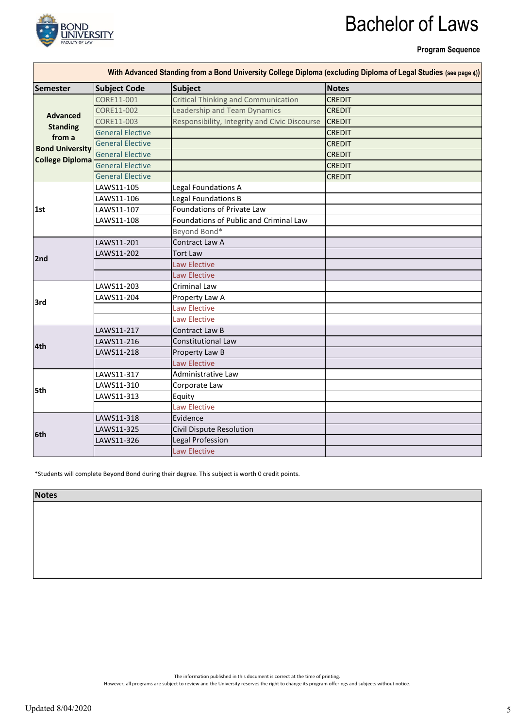

# Bachelor of Laws

**Program Sequence**

ń

| <b>Semester</b>        | <b>Subject Code</b>     | <b>Subject</b>                                | <b>Notes</b>  |
|------------------------|-------------------------|-----------------------------------------------|---------------|
| <b>Advanced</b>        | CORE11-001              | <b>Critical Thinking and Communication</b>    | <b>CREDIT</b> |
|                        | CORE11-002              | Leadership and Team Dynamics                  | <b>CREDIT</b> |
|                        | CORE11-003              | Responsibility, Integrity and Civic Discourse | <b>CREDIT</b> |
| <b>Standing</b>        | <b>General Elective</b> |                                               | <b>CREDIT</b> |
| from a                 | <b>General Elective</b> |                                               | <b>CREDIT</b> |
| <b>Bond University</b> | <b>General Elective</b> |                                               | <b>CREDIT</b> |
| <b>College Diploma</b> | <b>General Elective</b> |                                               | <b>CREDIT</b> |
|                        | <b>General Elective</b> |                                               | <b>CREDIT</b> |
|                        | LAWS11-105              | Legal Foundations A                           |               |
|                        | LAWS11-106              | Legal Foundations B                           |               |
| 1st                    | LAWS11-107              | Foundations of Private Law                    |               |
|                        | LAWS11-108              | Foundations of Public and Criminal Law        |               |
|                        |                         | Beyond Bond*                                  |               |
|                        | LAWS11-201              | Contract Law A                                |               |
| 2nd                    | LAWS11-202              | <b>Tort Law</b>                               |               |
|                        |                         | <b>Law Elective</b>                           |               |
|                        |                         | <b>Law Elective</b>                           |               |
|                        | LAWS11-203              | <b>Criminal Law</b>                           |               |
| 3rd                    | LAWS11-204              | Property Law A                                |               |
|                        |                         | <b>Law Elective</b>                           |               |
|                        |                         | Law Elective                                  |               |
|                        | LAWS11-217              | <b>Contract Law B</b>                         |               |
| 4th                    | LAWS11-216              | Constitutional Law                            |               |
|                        | LAWS11-218              | Property Law B                                |               |
|                        |                         | <b>Law Elective</b>                           |               |
|                        | LAWS11-317              | Administrative Law                            |               |
| 5th                    | LAWS11-310              | Corporate Law                                 |               |
|                        | LAWS11-313              | Equity                                        |               |
|                        |                         | <b>Law Elective</b>                           |               |
|                        | LAWS11-318              | Evidence                                      |               |
| 6th                    | LAWS11-325              | Civil Dispute Resolution                      |               |
|                        | LAWS11-326              | Legal Profession                              |               |
|                        |                         | <b>Law Elective</b>                           |               |

\*Students will complete Beyond Bond during their degree. This subject is worth 0 credit points.

**Notes**

The information published in this document is correct at the time of printing.

However, all programs are subject to review and the University reserves the right to change its program offerings and subjects without notice.